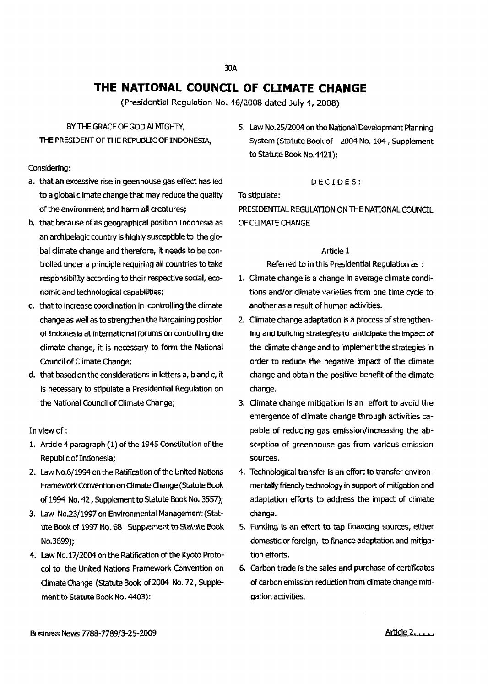# **THE NATIONAL COUNCIL OF CUMATE CHANGE**

(Presidential Regulation No. 16/2008 dated July 1, 2008)

## BY THE GRACE OF GOD ALMIGHTY, THE PRESIDENT OF THE REPUBLIC OF INDONESIA,

#### Considering:

- a. that an excessive rise in geenhouse gas effect has led to a global climate change that may reduce the quality of the environment and harm all creatures;
- b. that because of its geographical position Indonesia as an archipelagic country is highly susceptible to the global climate change and therefore, it needs to be controlled under a principle requiring all countries to take responsibility according to their respective social, economic and technological capabilities;
- c. that to increase coordination in controlling the climate change as well as to strengthen the bargaining position of Indonesia at international forums on controlling the climate change, it is necessary to form the National Council of Climate Change;
- d. that based on the considerations in letters a, b and c, it is necessary to stipulate a Presidential Regulation on the National Council of Climate Change;

#### In view of :

- 1. Article 4 paragraph (1) of the 1945 Constitution of the Republic of Indonesia;
- 2. Law No.6/1994 on the Ratification of the United Nations Framework Convention on Climate Change (Statute Book of 1994 No. 42, Supplement to Statute Book No. 3557);
- 3. Law No.23/1997 on Environmental Management (Statute Book of 1997 No. 68, Supplement to Statute Book No.3699);
- 4. Law No. 17/2004 on the Ratification of the Kyoto Protocol to the United Nations Framework Convention on Climate Change (Statute Book of 2004 No. 72, Supplement to Statute Book No. 4403):

5. Law No.25/2004 on the National Development Planning System (Statute Book of 2004 No. 104, Supplement to Statute Book No.4421);

#### DECIDES:

Tostipulate:

PRESIDENTIAL REGULATION ON THE NATIONAL COUNCIL OF CUMATE CHANGE

#### Article 1

Referred to in this Presidential Regulation as:

- 1. Climate change is a change in average climate conditions and/or climate varieties from one time cycle to another as a result of human activities.
- 2. Climate change adaptation is a process of strengthen-Ing and building strategies to anticipate the impact of the climate change and to implement the strategies in order to reduce the negative impact of the climate change and obtain the positive benefit of the climate change.
- 3. Climate change mitigation is an effort to avoid the emergence of climate change through activities capable of reducing gas emission/increasing the absorption of greenhouse gas from various emission sources.
- 4. Technological transfer is an effort to transferenvironmentally friendly technology in support of mitigation and adaptation efforts to address the impact of climate change.
- S. funding is an effort to tap financing sources, either domestic or foreign, to finance adaptation and mitigation efforts.
- 6. Carbon trade is the sales and purchase of certificates of carbon emission reduction from dimate change mitigation activities.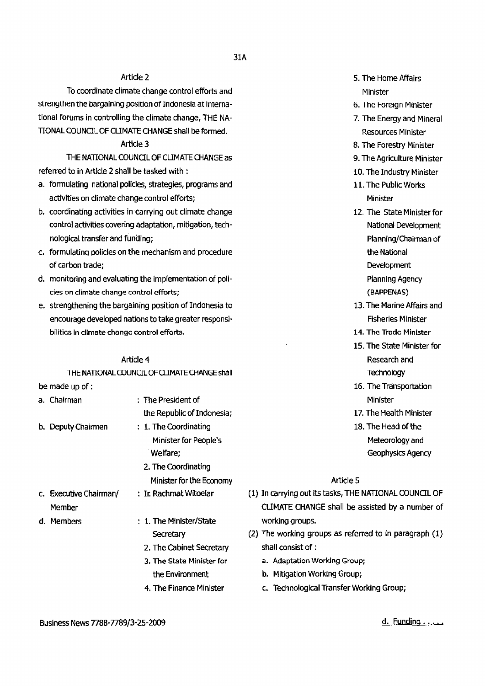## Article 2

To coordinate climate change control efforts and strengthen the bargaining position of Indonesia at International forums in controlling the climate change, THE NA-TIONAL COUNCIL OF CLIMATE CHANGE shall be formed.

#### Article 3

THE NATIONAL COUNCIL OF CLIMATE CHANGE as referred to in Article 2 shall be tasked with:

- a. formulating national policies, strategies, programs and activities on climate change control efforts;
- b. coordinating activities in carrying out climate change control activities covering adaptation, mitigation, technological transfer and funding;
- c. formulating policies on the mechanism and procedure of carbon trade;
- d. monitoring andevaluating the implementation of policies on climate change control efforts;
- e. strengthening the bargaining position of Indonesia to encourage developed nations to take greater responsibilities in climate change control efforts.

#### Article 4

THE NATIONAL COUNCIL OF CLIMATE CHANGE shall be made up of :

- : The President of the Republic of Indonesia; 1. TheCoordinating Minister for People's Welfare; b. Deputy Chairmen a. Chairman
	- 2. The Coordinating Minister for the Economy
- c. Executive Chairman/ Member
- d. Members
- : 1. The Minister/State **Secretary**

: Ir. Rachmat Witoelar

- 2. The Cabinet Secretary 3, The State Minister for the Environment
- 4. The Finance Minister
- 5. The Home Affairs Minister
- 6. The Foreign Minister
- 7. The Energy and Mineral Resources Minister
- 8. The Forestry Minister
- 9. The Agriculture Minister
- 10. The Industry Minister
- 11. The Public Works Minister
- 12. The State Minister for National Development Planning/Chairman of the National Development Planning Agency
	- (BAPPENAS)
- 13. The Marine Affairs and Fisheries Minister
- 14. The Trade Minister
- 15. The State Minister for Research and **Technology**
- 16. The Transportation Minister
- 17. The Health Minister
- 18. The Head of the Meteorology and Geophysics Agency

#### Article<sub>5</sub>

- (1) In carrying out its tasks, THE NATIONAL COUNCIL OF CUMATE CHANGE shall be assisted by a number of working groups.
- (2) The working groups as referred to in paragraph  $(1)$ shall consist of:
	- a. Adaptation Working Group;
	- b. Mitigation Working Group;
	- c. Technological Transfer Working Group;